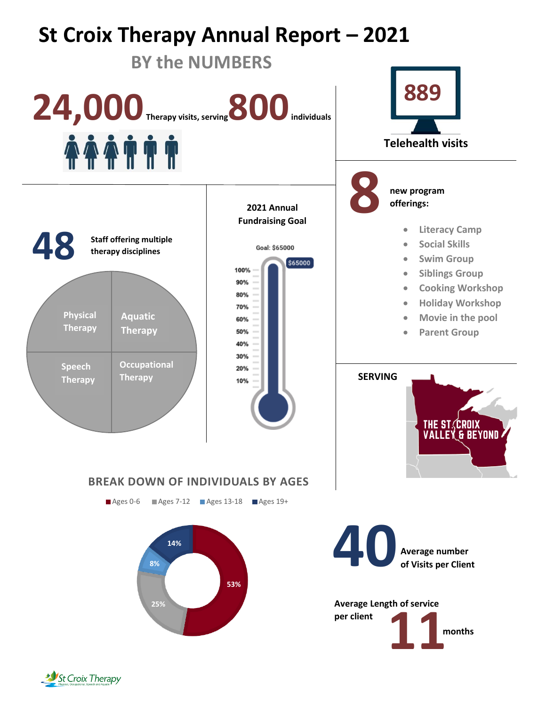